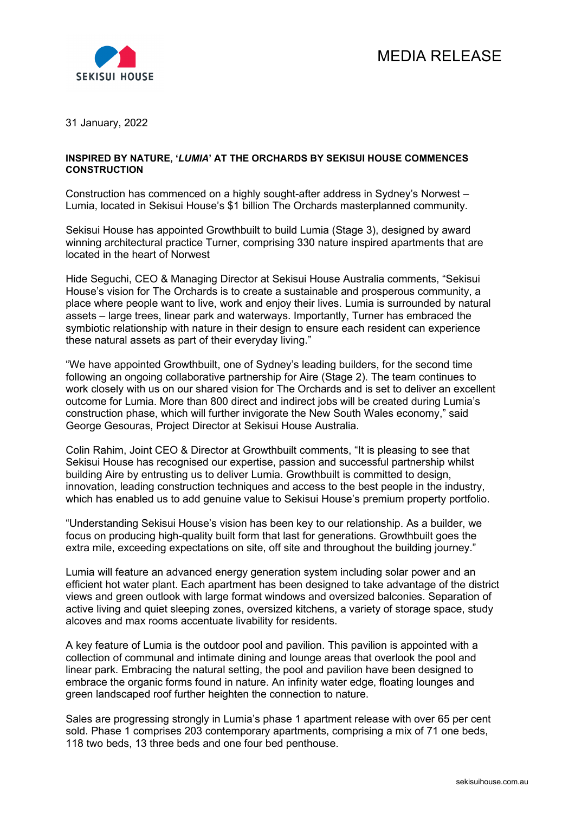

31 January, 2022

## **INSPIRED BY NATURE, '***LUMIA***' AT THE ORCHARDS BY SEKISUI HOUSE COMMENCES CONSTRUCTION**

Construction has commenced on a highly sought-after address in Sydney's Norwest – Lumia, located in Sekisui House's \$1 billion The Orchards masterplanned community.

Sekisui House has appointed Growthbuilt to build Lumia (Stage 3), designed by award winning architectural practice Turner, comprising 330 nature inspired apartments that are located in the heart of Norwest

Hide Seguchi, CEO & Managing Director at Sekisui House Australia comments, "Sekisui House's vision for The Orchards is to create a sustainable and prosperous community, a place where people want to live, work and enjoy their lives. Lumia is surrounded by natural assets – large trees, linear park and waterways. Importantly, Turner has embraced the symbiotic relationship with nature in their design to ensure each resident can experience these natural assets as part of their everyday living."

"We have appointed Growthbuilt, one of Sydney's leading builders, for the second time following an ongoing collaborative partnership for Aire (Stage 2). The team continues to work closely with us on our shared vision for The Orchards and is set to deliver an excellent outcome for Lumia. More than 800 direct and indirect jobs will be created during Lumia's construction phase, which will further invigorate the New South Wales economy," said George Gesouras, Project Director at Sekisui House Australia.

Colin Rahim, Joint CEO & Director at Growthbuilt comments, "It is pleasing to see that Sekisui House has recognised our expertise, passion and successful partnership whilst building Aire by entrusting us to deliver Lumia. Growthbuilt is committed to design, innovation, leading construction techniques and access to the best people in the industry, which has enabled us to add genuine value to Sekisui House's premium property portfolio.

"Understanding Sekisui House's vision has been key to our relationship. As a builder, we focus on producing high-quality built form that last for generations. Growthbuilt goes the extra mile, exceeding expectations on site, off site and throughout the building journey."

Lumia will feature an advanced energy generation system including solar power and an efficient hot water plant. Each apartment has been designed to take advantage of the district views and green outlook with large format windows and oversized balconies. Separation of active living and quiet sleeping zones, oversized kitchens, a variety of storage space, study alcoves and max rooms accentuate livability for residents.

A key feature of Lumia is the outdoor pool and pavilion. This pavilion is appointed with a collection of communal and intimate dining and lounge areas that overlook the pool and linear park. Embracing the natural setting, the pool and pavilion have been designed to embrace the organic forms found in nature. An infinity water edge, floating lounges and green landscaped roof further heighten the connection to nature.

Sales are progressing strongly in Lumia's phase 1 apartment release with over 65 per cent sold. Phase 1 comprises 203 contemporary apartments, comprising a mix of 71 one beds, 118 two beds, 13 three beds and one four bed penthouse.